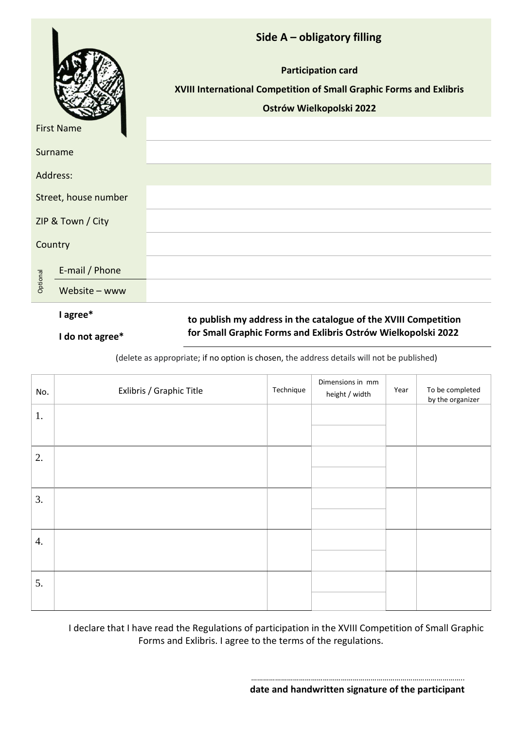|                      |                 | Side A - obligatory filling<br><b>Participation card</b><br>XVIII International Competition of Small Graphic Forms and Exlibris |  |  |
|----------------------|-----------------|---------------------------------------------------------------------------------------------------------------------------------|--|--|
| <b>First Name</b>    |                 | Ostrów Wielkopolski 2022                                                                                                        |  |  |
| Surname              |                 |                                                                                                                                 |  |  |
| Address:             |                 |                                                                                                                                 |  |  |
| Street, house number |                 |                                                                                                                                 |  |  |
| ZIP & Town / City    |                 |                                                                                                                                 |  |  |
| Country              |                 |                                                                                                                                 |  |  |
|                      | E-mail / Phone  |                                                                                                                                 |  |  |
| Optional             | Website $-$ www |                                                                                                                                 |  |  |
|                      | I agree*        | to publish my address in the catalogue of the XVIII Competition                                                                 |  |  |
|                      | I do not agree* | for Small Graphic Forms and Exlibris Ostrów Wielkopolski 2022                                                                   |  |  |

(delete as appropriate; if no option is chosen, the address details will not be published)

| No.              | Exlibris / Graphic Title | Technique | Dimensions in mm<br>height / width | Year | To be completed<br>by the organizer |
|------------------|--------------------------|-----------|------------------------------------|------|-------------------------------------|
| 1.               |                          |           |                                    |      |                                     |
|                  |                          |           |                                    |      |                                     |
| 2.               |                          |           |                                    |      |                                     |
|                  |                          |           |                                    |      |                                     |
| 3.               |                          |           |                                    |      |                                     |
|                  |                          |           |                                    |      |                                     |
| $\overline{4}$ . |                          |           |                                    |      |                                     |
|                  |                          |           |                                    |      |                                     |
| 5.               |                          |           |                                    |      |                                     |
|                  |                          |           |                                    |      |                                     |

I declare that I have read the Regulations of participation in the XVIII Competition of Small Graphic Forms and Exlibris. I agree to the terms of the regulations.

> …………………………………………………………………………………………….. **date and handwritten signature of the participant**